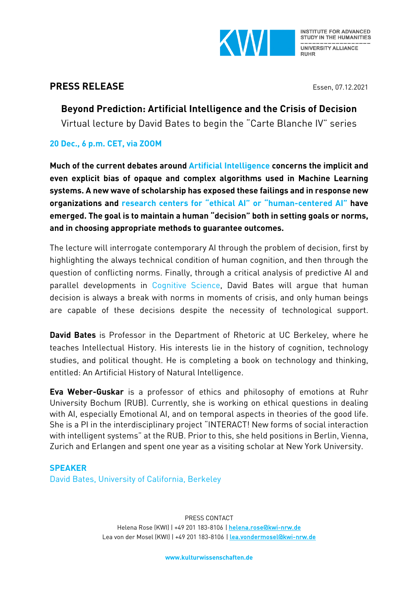

# **PRESS RELEASE** Essen, 07.12.2021

**Beyond Prediction: Artificial Intelligence and the Crisis of Decision** Virtual lecture by David Bates to begin the "Carte Blanche IV" series

## **20 Dec., 6 p.m. CET, via ZOOM**

**Much of the current debates around Artificial Intelligence concerns the implicit and even explicit bias of opaque and complex algorithms used in Machine Learning systems. A new wave of scholarship has exposed these failings and in response new organizations and research centers for "ethical AI" or "human-centered AI" have emerged. The goal is to maintain a human "decision" both in setting goals or norms, and in choosing appropriate methods to guarantee outcomes.** 

The lecture will interrogate contemporary AI through the problem of decision, first by highlighting the always technical condition of human cognition, and then through the question of conflicting norms. Finally, through a critical analysis of predictive AI and parallel developments in Cognitive Science, David Bates will argue that human decision is always a break with norms in moments of crisis, and only human beings are capable of these decisions despite the necessity of technological support.

**David Bates** is Professor in the Department of Rhetoric at UC Berkeley, where he teaches Intellectual History. His interests lie in the history of cognition, technology studies, and political thought. He is completing a book on technology and thinking, entitled: An Artificial History of Natural Intelligence.

**Eva Weber-Guskar** is a professor of ethics and philosophy of emotions at Ruhr University Bochum (RUB). Currently, she is working on ethical questions in dealing with AI, especially Emotional AI, and on temporal aspects in theories of the good life. She is a PI in the interdisciplinary project "INTERACT! New forms of social interaction with intelligent systems" at the RUB. Prior to this, she held positions in Berlin, Vienna, Zurich and Erlangen and spent one year as a visiting scholar at New York University.

# **SPEAKER** David Bates, University of California, Berkeley

PRESS CONTACT Helena Rose (KWI) | +49 201 183-8106 | helena.rose@kwi-nrw.de Lea von der Mosel (KWI) | +49 201 183-8106 | lea.vondermosel@kwi-nrw.de